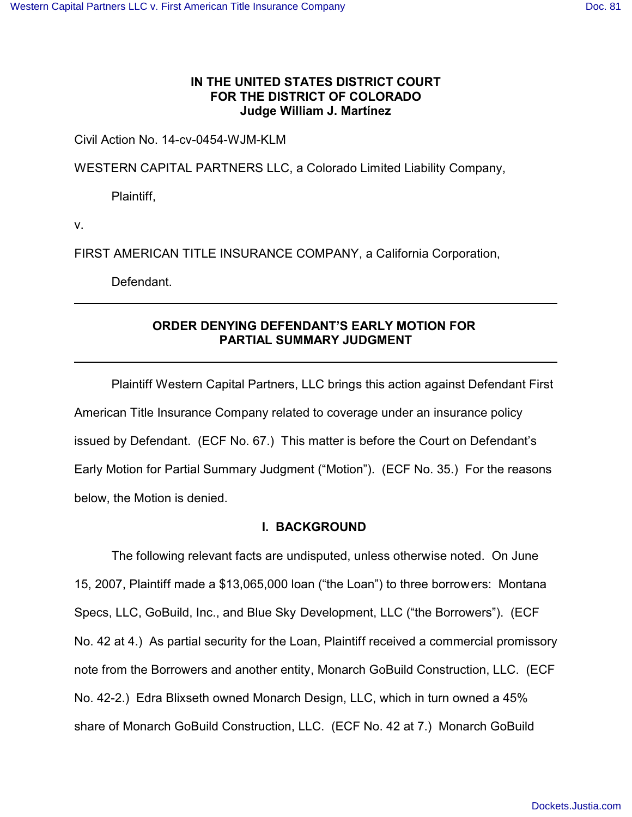# **IN THE UNITED STATES DISTRICT COURT FOR THE DISTRICT OF COLORADO Judge William J. Martínez**

Civil Action No. 14-cv-0454-WJM-KLM

WESTERN CAPITAL PARTNERS LLC, a Colorado Limited Liability Company,

Plaintiff,

v.

FIRST AMERICAN TITLE INSURANCE COMPANY, a California Corporation,

Defendant.

# **ORDER DENYING DEFENDANT'S EARLY MOTION FOR PARTIAL SUMMARY JUDGMENT**

Plaintiff Western Capital Partners, LLC brings this action against Defendant First American Title Insurance Company related to coverage under an insurance policy issued by Defendant. (ECF No. 67.) This matter is before the Court on Defendant's Early Motion for Partial Summary Judgment ("Motion"). (ECF No. 35.) For the reasons below, the Motion is denied.

# **I. BACKGROUND**

The following relevant facts are undisputed, unless otherwise noted. On June 15, 2007, Plaintiff made a \$13,065,000 loan ("the Loan") to three borrowers: Montana Specs, LLC, GoBuild, Inc., and Blue Sky Development, LLC ("the Borrowers"). (ECF No. 42 at 4.) As partial security for the Loan, Plaintiff received a commercial promissory note from the Borrowers and another entity, Monarch GoBuild Construction, LLC. (ECF No. 42-2.) Edra Blixseth owned Monarch Design, LLC, which in turn owned a 45% share of Monarch GoBuild Construction, LLC. (ECF No. 42 at 7.) Monarch GoBuild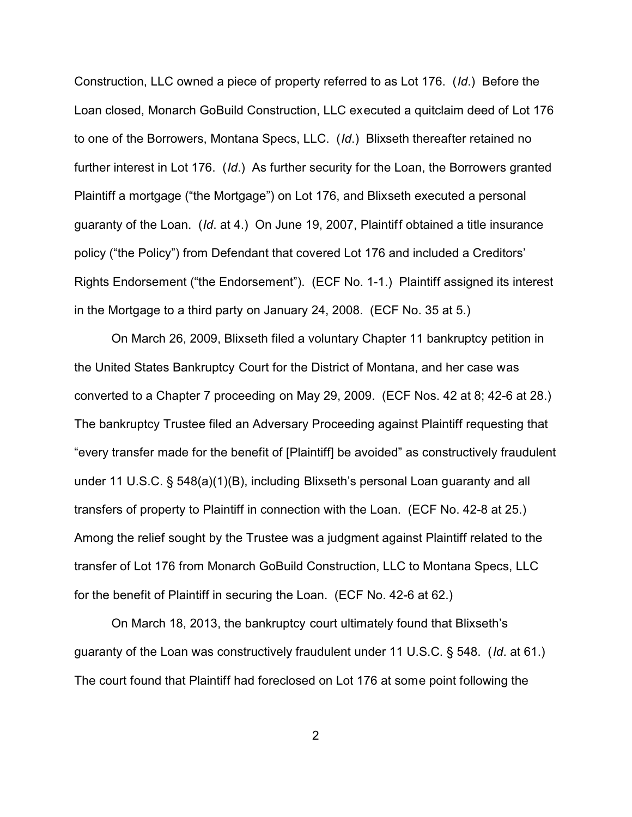Construction, LLC owned a piece of property referred to as Lot 176. (*Id*.) Before the Loan closed, Monarch GoBuild Construction, LLC executed a quitclaim deed of Lot 176 to one of the Borrowers, Montana Specs, LLC. (*Id*.) Blixseth thereafter retained no further interest in Lot 176. (*Id*.) As further security for the Loan, the Borrowers granted Plaintiff a mortgage ("the Mortgage") on Lot 176, and Blixseth executed a personal guaranty of the Loan. (*Id*. at 4.) On June 19, 2007, Plaintiff obtained a title insurance policy ("the Policy") from Defendant that covered Lot 176 and included a Creditors' Rights Endorsement ("the Endorsement"). (ECF No. 1-1.) Plaintiff assigned its interest in the Mortgage to a third party on January 24, 2008. (ECF No. 35 at 5.)

On March 26, 2009, Blixseth filed a voluntary Chapter 11 bankruptcy petition in the United States Bankruptcy Court for the District of Montana, and her case was converted to a Chapter 7 proceeding on May 29, 2009. (ECF Nos. 42 at 8; 42-6 at 28.) The bankruptcy Trustee filed an Adversary Proceeding against Plaintiff requesting that "every transfer made for the benefit of [Plaintiff] be avoided" as constructively fraudulent under 11 U.S.C. § 548(a)(1)(B), including Blixseth's personal Loan guaranty and all transfers of property to Plaintiff in connection with the Loan. (ECF No. 42-8 at 25.) Among the relief sought by the Trustee was a judgment against Plaintiff related to the transfer of Lot 176 from Monarch GoBuild Construction, LLC to Montana Specs, LLC for the benefit of Plaintiff in securing the Loan. (ECF No. 42-6 at 62.)

On March 18, 2013, the bankruptcy court ultimately found that Blixseth's guaranty of the Loan was constructively fraudulent under 11 U.S.C. § 548. (*Id*. at 61.) The court found that Plaintiff had foreclosed on Lot 176 at some point following the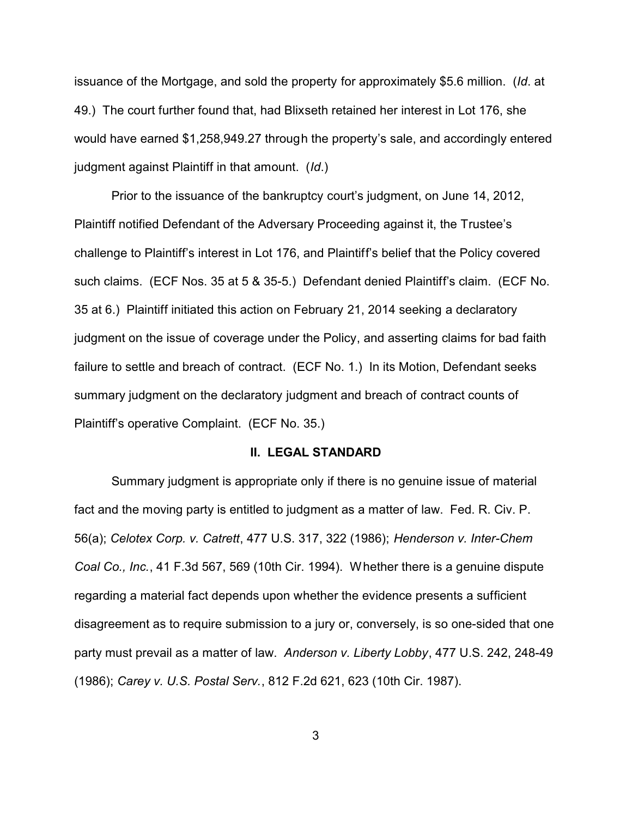issuance of the Mortgage, and sold the property for approximately \$5.6 million. (*Id*. at 49.) The court further found that, had Blixseth retained her interest in Lot 176, she would have earned \$1,258,949.27 through the property's sale, and accordingly entered judgment against Plaintiff in that amount. (*Id*.)

Prior to the issuance of the bankruptcy court's judgment, on June 14, 2012, Plaintiff notified Defendant of the Adversary Proceeding against it, the Trustee's challenge to Plaintiff's interest in Lot 176, and Plaintiff's belief that the Policy covered such claims. (ECF Nos. 35 at 5 & 35-5.) Defendant denied Plaintiff's claim. (ECF No. 35 at 6.) Plaintiff initiated this action on February 21, 2014 seeking a declaratory judgment on the issue of coverage under the Policy, and asserting claims for bad faith failure to settle and breach of contract. (ECF No. 1.) In its Motion, Defendant seeks summary judgment on the declaratory judgment and breach of contract counts of Plaintiff's operative Complaint. (ECF No. 35.)

#### **II. LEGAL STANDARD**

Summary judgment is appropriate only if there is no genuine issue of material fact and the moving party is entitled to judgment as a matter of law. Fed. R. Civ. P. 56(a); *Celotex Corp. v. Catrett*, 477 U.S. 317, 322 (1986); *Henderson v. Inter-Chem Coal Co., Inc.*, 41 F.3d 567, 569 (10th Cir. 1994). Whether there is a genuine dispute regarding a material fact depends upon whether the evidence presents a sufficient disagreement as to require submission to a jury or, conversely, is so one-sided that one party must prevail as a matter of law. *Anderson v. Liberty Lobby*, 477 U.S. 242, 248-49 (1986); *Carey v. U.S. Postal Serv.*, 812 F.2d 621, 623 (10th Cir. 1987).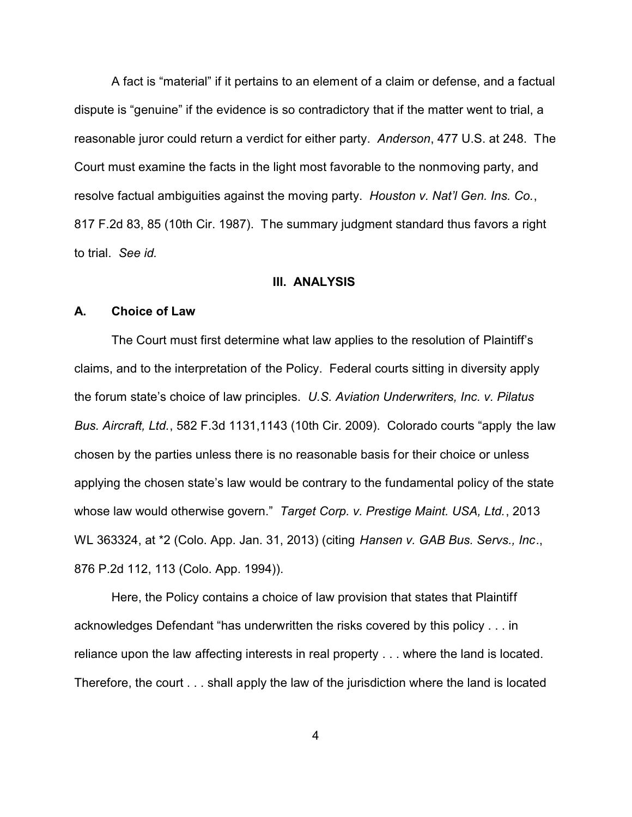A fact is "material" if it pertains to an element of a claim or defense, and a factual dispute is "genuine" if the evidence is so contradictory that if the matter went to trial, a reasonable juror could return a verdict for either party. *Anderson*, 477 U.S. at 248. The Court must examine the facts in the light most favorable to the nonmoving party, and resolve factual ambiguities against the moving party. *Houston v. Nat'l Gen. Ins. Co.*, 817 F.2d 83, 85 (10th Cir. 1987). The summary judgment standard thus favors a right to trial. *See id.* 

#### **III. ANALYSIS**

#### **A. Choice of Law**

The Court must first determine what law applies to the resolution of Plaintiff's claims, and to the interpretation of the Policy. Federal courts sitting in diversity apply the forum state's choice of law principles. *U.S. Aviation Underwriters, Inc. v. Pilatus Bus. Aircraft, Ltd.*, 582 F.3d 1131,1143 (10th Cir. 2009). Colorado courts "apply the law chosen by the parties unless there is no reasonable basis for their choice or unless applying the chosen state's law would be contrary to the fundamental policy of the state whose law would otherwise govern." *Target Corp. v. Prestige Maint. USA, Ltd.*, 2013 WL 363324, at \*2 (Colo. App. Jan. 31, 2013) (citing *Hansen v. GAB Bus. Servs., Inc*., 876 P.2d 112, 113 (Colo. App. 1994)).

Here, the Policy contains a choice of law provision that states that Plaintiff acknowledges Defendant "has underwritten the risks covered by this policy . . . in reliance upon the law affecting interests in real property . . . where the land is located. Therefore, the court . . . shall apply the law of the jurisdiction where the land is located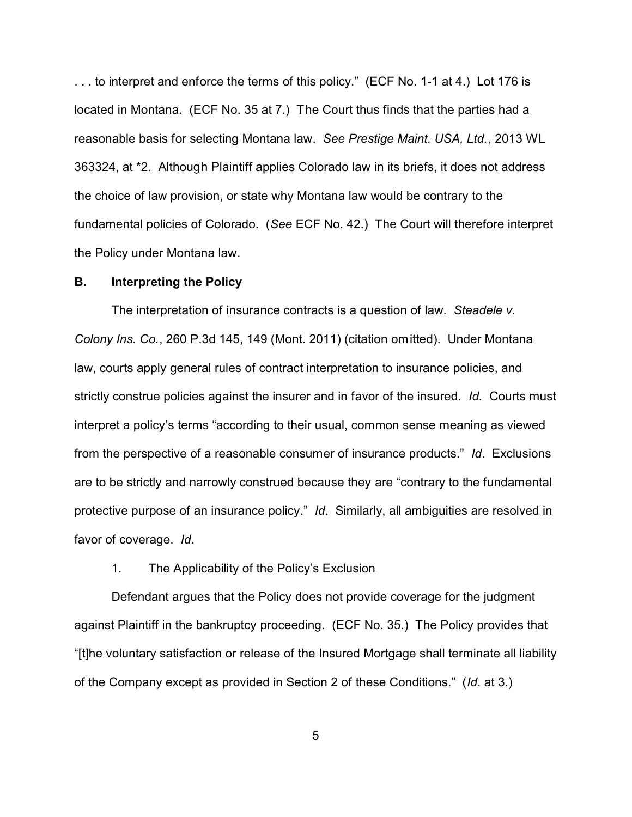. . . to interpret and enforce the terms of this policy." (ECF No. 1-1 at 4.) Lot 176 is located in Montana. (ECF No. 35 at 7.) The Court thus finds that the parties had a reasonable basis for selecting Montana law. *See Prestige Maint. USA, Ltd.*, 2013 WL 363324, at \*2. Although Plaintiff applies Colorado law in its briefs, it does not address the choice of law provision, or state why Montana law would be contrary to the fundamental policies of Colorado. (*See* ECF No. 42.) The Court will therefore interpret the Policy under Montana law.

#### **B. Interpreting the Policy**

The interpretation of insurance contracts is a question of law. *Steadele v. Colony Ins. Co.*, 260 P.3d 145, 149 (Mont. 2011) (citation omitted). Under Montana law, courts apply general rules of contract interpretation to insurance policies, and strictly construe policies against the insurer and in favor of the insured. *Id.* Courts must interpret a policy's terms "according to their usual, common sense meaning as viewed from the perspective of a reasonable consumer of insurance products." *Id*. Exclusions are to be strictly and narrowly construed because they are "contrary to the fundamental protective purpose of an insurance policy." *Id*. Similarly, all ambiguities are resolved in favor of coverage. *Id*.

## 1. The Applicability of the Policy's Exclusion

Defendant argues that the Policy does not provide coverage for the judgment against Plaintiff in the bankruptcy proceeding. (ECF No. 35.) The Policy provides that "[t]he voluntary satisfaction or release of the Insured Mortgage shall terminate all liability of the Company except as provided in Section 2 of these Conditions." (*Id*. at 3.)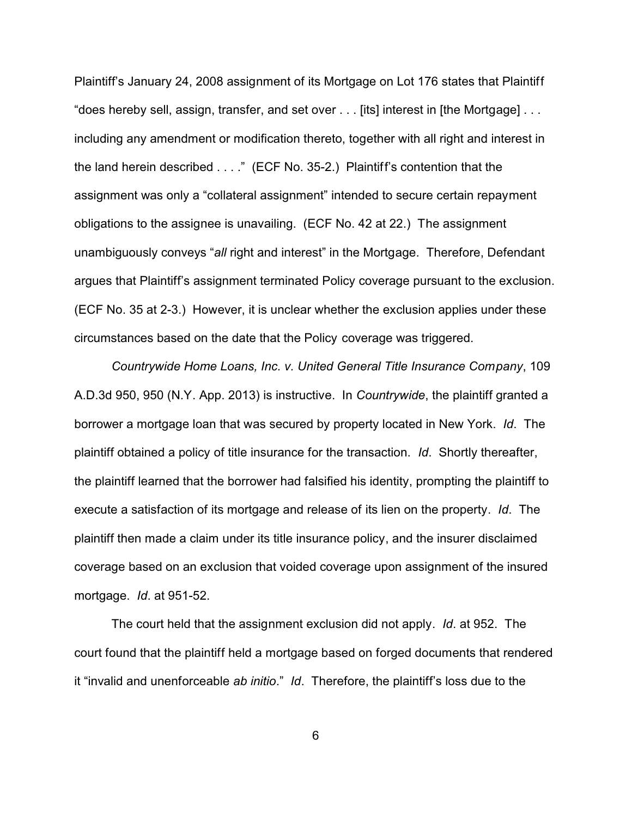Plaintiff's January 24, 2008 assignment of its Mortgage on Lot 176 states that Plaintiff "does hereby sell, assign, transfer, and set over . . . [its] interest in [the Mortgage] . . . including any amendment or modification thereto, together with all right and interest in the land herein described . . . ." (ECF No. 35-2.) Plaintiff's contention that the assignment was only a "collateral assignment" intended to secure certain repayment obligations to the assignee is unavailing. (ECF No. 42 at 22.) The assignment unambiguously conveys "*all* right and interest" in the Mortgage. Therefore, Defendant argues that Plaintiff's assignment terminated Policy coverage pursuant to the exclusion. (ECF No. 35 at 2-3.) However, it is unclear whether the exclusion applies under these circumstances based on the date that the Policy coverage was triggered.

*Countrywide Home Loans, Inc. v. United General Title Insurance Company*, 109 A.D.3d 950, 950 (N.Y. App. 2013) is instructive. In *Countrywide*, the plaintiff granted a borrower a mortgage loan that was secured by property located in New York. *Id*. The plaintiff obtained a policy of title insurance for the transaction. *Id*. Shortly thereafter, the plaintiff learned that the borrower had falsified his identity, prompting the plaintiff to execute a satisfaction of its mortgage and release of its lien on the property. *Id*. The plaintiff then made a claim under its title insurance policy, and the insurer disclaimed coverage based on an exclusion that voided coverage upon assignment of the insured mortgage. *Id*. at 951-52.

The court held that the assignment exclusion did not apply. *Id*. at 952. The court found that the plaintiff held a mortgage based on forged documents that rendered it "invalid and unenforceable *ab initio*." *Id*. Therefore, the plaintiff's loss due to the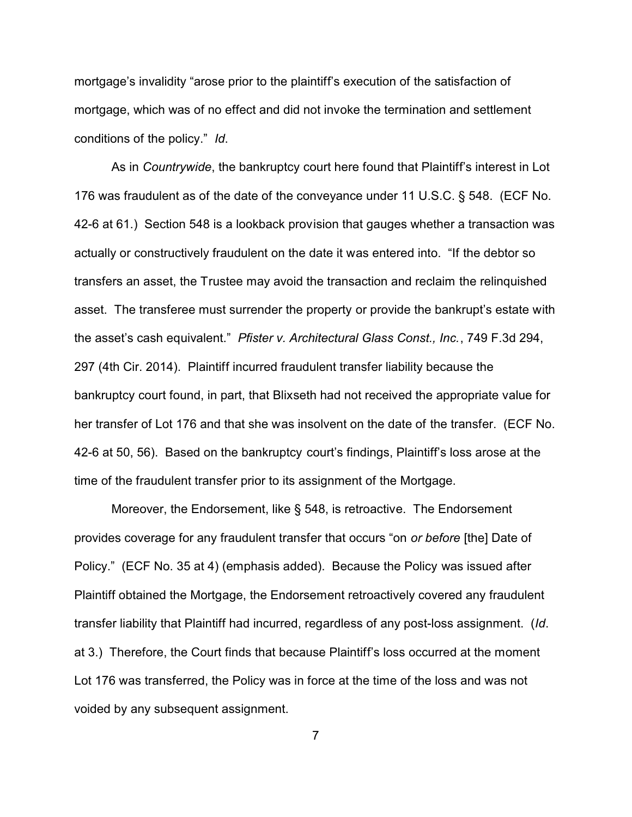mortgage's invalidity "arose prior to the plaintiff's execution of the satisfaction of mortgage, which was of no effect and did not invoke the termination and settlement conditions of the policy." *Id*.

As in *Countrywide*, the bankruptcy court here found that Plaintiff's interest in Lot 176 was fraudulent as of the date of the conveyance under 11 U.S.C. § 548. (ECF No. 42-6 at 61.) Section 548 is a lookback provision that gauges whether a transaction was actually or constructively fraudulent on the date it was entered into. "If the debtor so transfers an asset, the Trustee may avoid the transaction and reclaim the relinquished asset. The transferee must surrender the property or provide the bankrupt's estate with the asset's cash equivalent." *Pfister v. Architectural Glass Const., Inc.*, 749 F.3d 294, 297 (4th Cir. 2014). Plaintiff incurred fraudulent transfer liability because the bankruptcy court found, in part, that Blixseth had not received the appropriate value for her transfer of Lot 176 and that she was insolvent on the date of the transfer. (ECF No. 42-6 at 50, 56). Based on the bankruptcy court's findings, Plaintiff's loss arose at the time of the fraudulent transfer prior to its assignment of the Mortgage.

Moreover, the Endorsement, like § 548, is retroactive. The Endorsement provides coverage for any fraudulent transfer that occurs "on *or before* [the] Date of Policy." (ECF No. 35 at 4) (emphasis added). Because the Policy was issued after Plaintiff obtained the Mortgage, the Endorsement retroactively covered any fraudulent transfer liability that Plaintiff had incurred, regardless of any post-loss assignment. (*Id*. at 3.) Therefore, the Court finds that because Plaintiff's loss occurred at the moment Lot 176 was transferred, the Policy was in force at the time of the loss and was not voided by any subsequent assignment.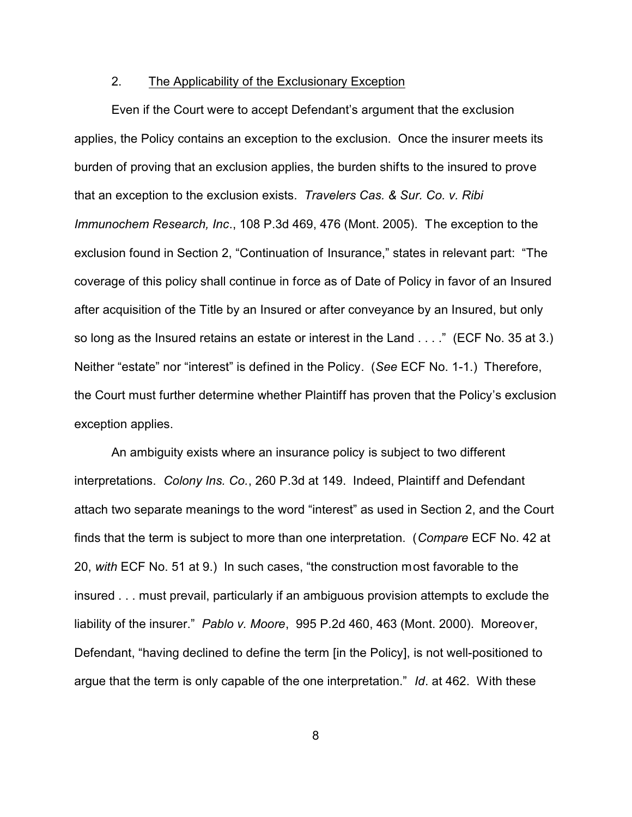## 2. The Applicability of the Exclusionary Exception

Even if the Court were to accept Defendant's argument that the exclusion applies, the Policy contains an exception to the exclusion. Once the insurer meets its burden of proving that an exclusion applies, the burden shifts to the insured to prove that an exception to the exclusion exists. *Travelers Cas. & Sur. Co. v. Ribi Immunochem Research, Inc*., 108 P.3d 469, 476 (Mont. 2005). The exception to the exclusion found in Section 2, "Continuation of Insurance," states in relevant part: "The coverage of this policy shall continue in force as of Date of Policy in favor of an Insured after acquisition of the Title by an Insured or after conveyance by an Insured, but only so long as the Insured retains an estate or interest in the Land . . . ." (ECF No. 35 at 3.) Neither "estate" nor "interest" is defined in the Policy. (*See* ECF No. 1-1.) Therefore, the Court must further determine whether Plaintiff has proven that the Policy's exclusion exception applies.

An ambiguity exists where an insurance policy is subject to two different interpretations. *Colony Ins. Co.*, 260 P.3d at 149. Indeed, Plaintiff and Defendant attach two separate meanings to the word "interest" as used in Section 2, and the Court finds that the term is subject to more than one interpretation. (*Compare* ECF No. 42 at 20, *with* ECF No. 51 at 9.) In such cases, "the construction most favorable to the insured . . . must prevail, particularly if an ambiguous provision attempts to exclude the liability of the insurer." *Pablo v. Moore*, 995 P.2d 460, 463 (Mont. 2000). Moreover, Defendant, "having declined to define the term [in the Policy], is not well-positioned to argue that the term is only capable of the one interpretation." *Id*. at 462. With these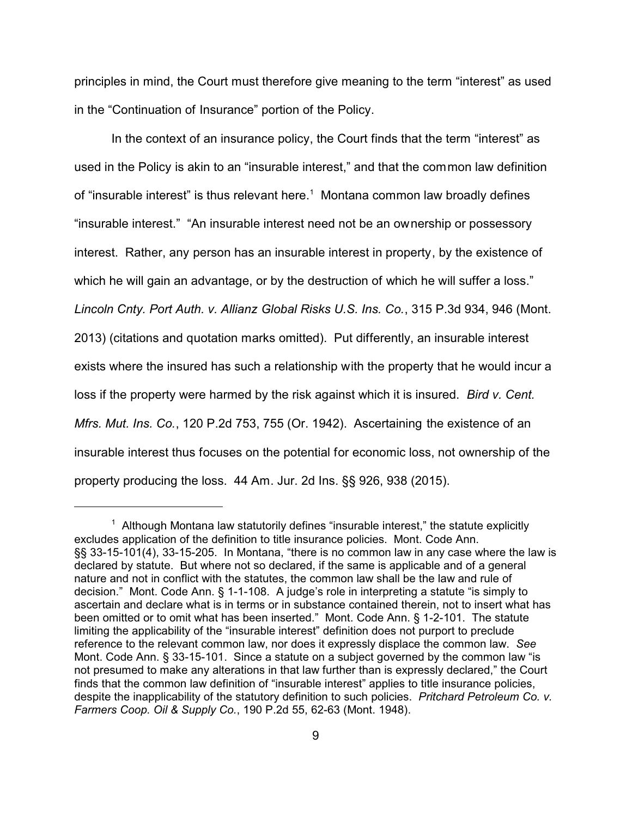principles in mind, the Court must therefore give meaning to the term "interest" as used in the "Continuation of Insurance" portion of the Policy.

In the context of an insurance policy, the Court finds that the term "interest" as used in the Policy is akin to an "insurable interest," and that the common law definition of "insurable interest" is thus relevant here. $1$  Montana common law broadly defines "insurable interest." "An insurable interest need not be an ownership or possessory interest. Rather, any person has an insurable interest in property, by the existence of which he will gain an advantage, or by the destruction of which he will suffer a loss." *Lincoln Cnty. Port Auth. v. Allianz Global Risks U.S. Ins. Co.*, 315 P.3d 934, 946 (Mont. 2013) (citations and quotation marks omitted). Put differently, an insurable interest exists where the insured has such a relationship with the property that he would incur a loss if the property were harmed by the risk against which it is insured. *Bird v. Cent. Mfrs. Mut. Ins. Co.*, 120 P.2d 753, 755 (Or. 1942). Ascertaining the existence of an insurable interest thus focuses on the potential for economic loss, not ownership of the property producing the loss. 44 Am. Jur. 2d Ins. §§ 926, 938 (2015).

 $1$  Although Montana law statutorily defines "insurable interest," the statute explicitly excludes application of the definition to title insurance policies. Mont. Code Ann. §§ 33-15-101(4), 33-15-205. In Montana, "there is no common law in any case where the law is declared by statute. But where not so declared, if the same is applicable and of a general nature and not in conflict with the statutes, the common law shall be the law and rule of decision." Mont. Code Ann. § 1-1-108. A judge's role in interpreting a statute "is simply to ascertain and declare what is in terms or in substance contained therein, not to insert what has been omitted or to omit what has been inserted." Mont. Code Ann. § 1-2-101. The statute limiting the applicability of the "insurable interest" definition does not purport to preclude reference to the relevant common law, nor does it expressly displace the common law. *See* Mont. Code Ann. § 33-15-101. Since a statute on a subject governed by the common law "is not presumed to make any alterations in that law further than is expressly declared," the Court finds that the common law definition of "insurable interest" applies to title insurance policies, despite the inapplicability of the statutory definition to such policies. *Pritchard Petroleum Co. v. Farmers Coop. Oil & Supply Co.*, 190 P.2d 55, 62-63 (Mont. 1948).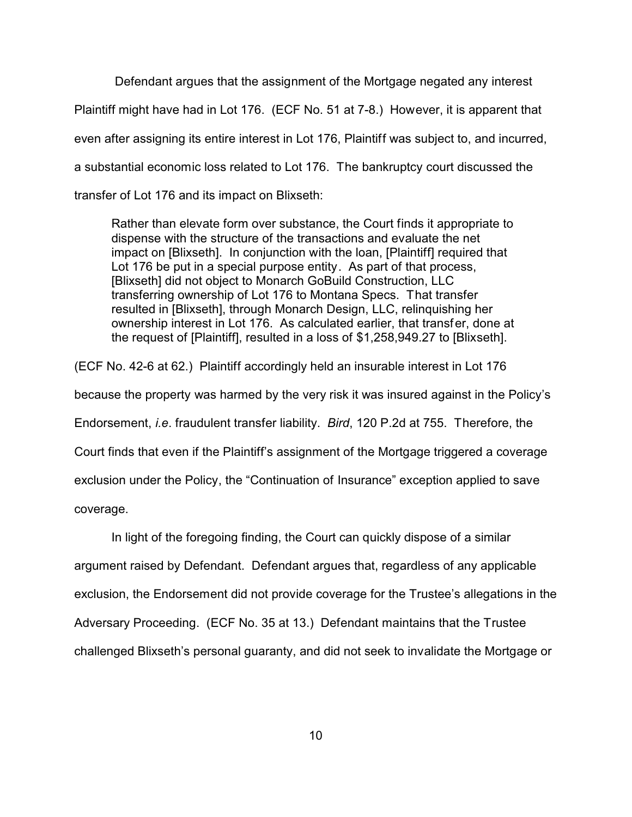Defendant argues that the assignment of the Mortgage negated any interest Plaintiff might have had in Lot 176. (ECF No. 51 at 7-8.) However, it is apparent that even after assigning its entire interest in Lot 176, Plaintiff was subject to, and incurred, a substantial economic loss related to Lot 176. The bankruptcy court discussed the transfer of Lot 176 and its impact on Blixseth:

Rather than elevate form over substance, the Court finds it appropriate to dispense with the structure of the transactions and evaluate the net impact on [Blixseth]. In conjunction with the loan, [Plaintiff] required that Lot 176 be put in a special purpose entity. As part of that process, [Blixseth] did not object to Monarch GoBuild Construction, LLC transferring ownership of Lot 176 to Montana Specs. That transfer resulted in [Blixseth], through Monarch Design, LLC, relinquishing her ownership interest in Lot 176. As calculated earlier, that transfer, done at the request of [Plaintiff], resulted in a loss of \$1,258,949.27 to [Blixseth].

(ECF No. 42-6 at 62.) Plaintiff accordingly held an insurable interest in Lot 176 because the property was harmed by the very risk it was insured against in the Policy's Endorsement, *i.e*. fraudulent transfer liability. *Bird*, 120 P.2d at 755. Therefore, the Court finds that even if the Plaintiff's assignment of the Mortgage triggered a coverage exclusion under the Policy, the "Continuation of Insurance" exception applied to save coverage.

In light of the foregoing finding, the Court can quickly dispose of a similar argument raised by Defendant. Defendant argues that, regardless of any applicable exclusion, the Endorsement did not provide coverage for the Trustee's allegations in the Adversary Proceeding. (ECF No. 35 at 13.) Defendant maintains that the Trustee challenged Blixseth's personal guaranty, and did not seek to invalidate the Mortgage or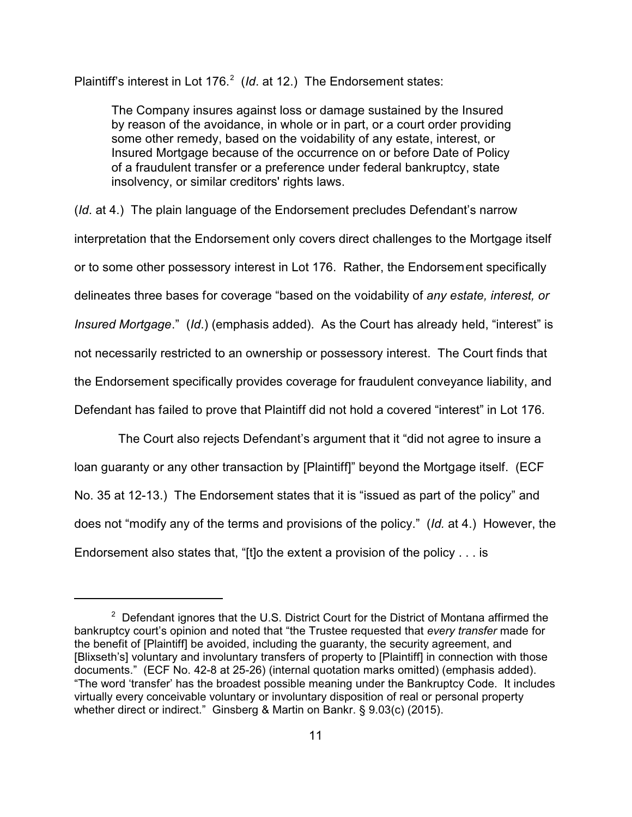Plaintiff's interest in Lot 176.<sup>2</sup> (*Id.* at 12.) The Endorsement states:

The Company insures against loss or damage sustained by the Insured by reason of the avoidance, in whole or in part, or a court order providing some other remedy, based on the voidability of any estate, interest, or Insured Mortgage because of the occurrence on or before Date of Policy of a fraudulent transfer or a preference under federal bankruptcy, state insolvency, or similar creditors' rights laws.

(*Id*. at 4.) The plain language of the Endorsement precludes Defendant's narrow interpretation that the Endorsement only covers direct challenges to the Mortgage itself or to some other possessory interest in Lot 176. Rather, the Endorsement specifically delineates three bases for coverage "based on the voidability of *any estate, interest, or Insured Mortgage*." (*Id*.) (emphasis added). As the Court has already held, "interest" is not necessarily restricted to an ownership or possessory interest. The Court finds that the Endorsement specifically provides coverage for fraudulent conveyance liability, and Defendant has failed to prove that Plaintiff did not hold a covered "interest" in Lot 176.

 The Court also rejects Defendant's argument that it "did not agree to insure a loan guaranty or any other transaction by [Plaintiff]" beyond the Mortgage itself. (ECF No. 35 at 12-13.) The Endorsement states that it is "issued as part of the policy" and does not "modify any of the terms and provisions of the policy." (*Id.* at 4.) However, the Endorsement also states that, "[t]o the extent a provision of the policy . . . is

 $2$  Defendant ignores that the U.S. District Court for the District of Montana affirmed the bankruptcy court's opinion and noted that "the Trustee requested that *every transfer* made for the benefit of [Plaintiff] be avoided, including the guaranty, the security agreement, and [Blixseth's] voluntary and involuntary transfers of property to [Plaintiff] in connection with those documents." (ECF No. 42-8 at 25-26) (internal quotation marks omitted) (emphasis added). "The word 'transfer' has the broadest possible meaning under the Bankruptcy Code. It includes virtually every conceivable voluntary or involuntary disposition of real or personal property whether direct or indirect." Ginsberg & Martin on Bankr. § 9.03(c) (2015).